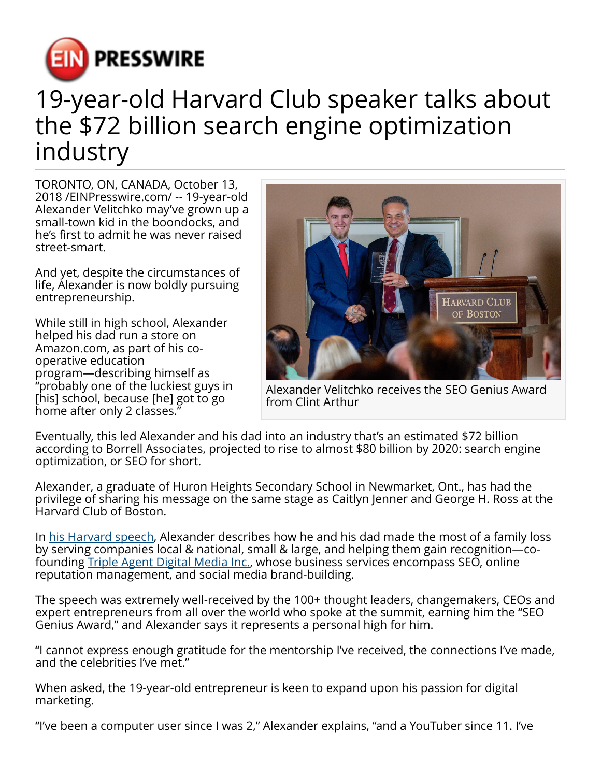

# 19-year-old Harvard Club speaker talks about the \$72 billion search engine optimization industry

TORONTO, ON, CANADA, October 13, 2018 /[EINPresswire.com](http://www.einpresswire.com)/ -- 19-year-old Alexander Velitchko may've grown up a small-town kid in the boondocks, and he's first to admit he was never raised street-smart.

And yet, despite the circumstances of life, Alexander is now boldly pursuing entrepreneurship.

While still in high school, Alexander helped his dad run a store on Amazon.com, as part of his cooperative education program—describing himself as "probably one of the luckiest guys in [his] school, because [he] got to go home after only 2 classes."



Alexander Velitchko receives the SEO Genius Award from Clint Arthur

Eventually, this led Alexander and his dad into an industry that's an estimated \$72 billion according to Borrell Associates, projected to rise to almost \$80 billion by 2020: search engine optimization, or SEO for short.

Alexander, a graduate of Huron Heights Secondary School in Newmarket, Ont., has had the privilege of sharing his message on the same stage as Caitlyn Jenner and George H. Ross at the Harvard Club of Boston.

In [his Harvard speech,](https://www.youtube.com/watch?v=D6gpV2td0O8&t=3s) Alexander describes how he and his dad made the most of a family loss by serving companies local & national, small & large, and helping them gain recognition—cofounding [Triple Agent Digital Media Inc.,](https://tripleagentdigitalmedia.com) whose business services encompass SEO, online reputation management, and social media brand-building.

The speech was extremely well-received by the 100+ thought leaders, changemakers, CEOs and expert entrepreneurs from all over the world who spoke at the summit, earning him the "SEO Genius Award," and Alexander says it represents a personal high for him.

"I cannot express enough gratitude for the mentorship I've received, the connections I've made, and the celebrities I've met."

When asked, the 19-year-old entrepreneur is keen to expand upon his passion for digital marketing.

"I've been a computer user since I was 2," Alexander explains, "and a YouTuber since 11. I've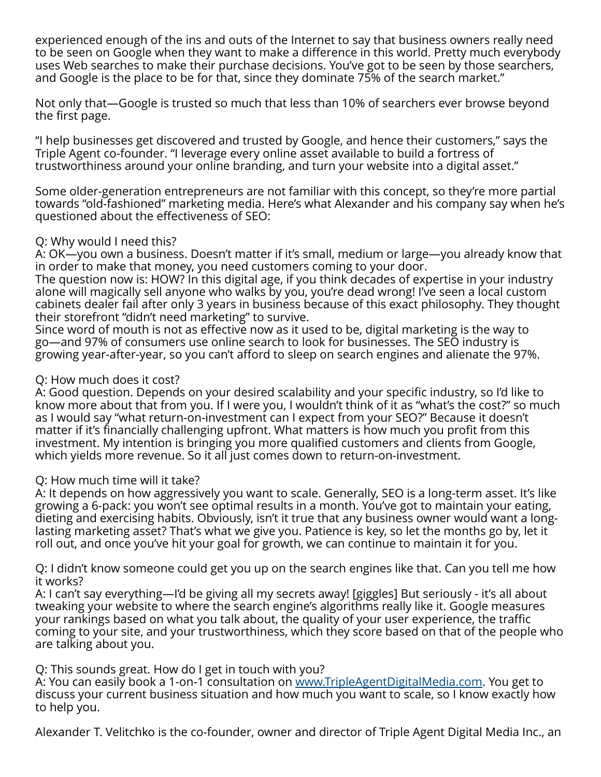experienced enough of the ins and outs of the Internet to say that business owners really need to be seen on Google when they want to make a difference in this world. Pretty much everybody uses Web searches to make their purchase decisions. You've got to be seen by those searchers, and Google is the place to be for that, since they dominate 75% of the search market."

Not only that—Google is trusted so much that less than 10% of searchers ever browse beyond the first page.

"I help businesses get discovered and trusted by Google, and hence their customers," says the Triple Agent co-founder. "I leverage every online asset available to build a fortress of trustworthiness around your online branding, and turn your website into a digital asset."

Some older-generation entrepreneurs are not familiar with this concept, so they're more partial towards "old-fashioned" marketing media. Here's what Alexander and his company say when he's questioned about the effectiveness of SEO:

## Q: Why would I need this?

A: OK—you own a business. Doesn't matter if it's small, medium or large—you already know that in order to make that money, you need customers coming to your door.

The question now is: HOW? In this digital age, if you think decades of expertise in your industry alone will magically sell anyone who walks by you, you're dead wrong! I've seen a local custom cabinets dealer fail after only 3 years in business because of this exact philosophy. They thought their storefront "didn't need marketing" to survive.

Since word of mouth is not as effective now as it used to be, digital marketing is the way to go—and 97% of consumers use online search to look for businesses. The SEO industry is growing year-after-year, so you can't afford to sleep on search engines and alienate the 97%.

## Q: How much does it cost?

A: Good question. Depends on your desired scalability and your specific industry, so I'd like to know more about that from you. If I were you, I wouldn't think of it as "what's the cost?" so much as I would say "what return-on-investment can I expect from your SEO?" Because it doesn't matter if it's financially challenging upfront. What matters is how much you profit from this investment. My intention is bringing you more qualified customers and clients from Google, which yields more revenue. So it all just comes down to return-on-investment.

### Q: How much time will it take?

A: It depends on how aggressively you want to scale. Generally, SEO is a long-term asset. It's like growing a 6-pack: you won't see optimal results in a month. You've got to maintain your eating, dieting and exercising habits. Obviously, isn't it true that any business owner would want a longlasting marketing asset? That's what we give you. Patience is key, so let the months go by, let it roll out, and once you've hit your goal for growth, we can continue to maintain it for you.

Q: I didn't know someone could get you up on the search engines like that. Can you tell me how it works?

A: I can't say everything—I'd be giving all my secrets away! [giggles] But seriously - it's all about tweaking your website to where the search engine's algorithms really like it. Google measures your rankings based on what you talk about, the quality of your user experience, the traffic coming to your site, and your trustworthiness, which they score based on that of the people who are talking about you.

### Q: This sounds great. How do I get in touch with you?

A: You can easily book a 1-on-1 consultation on [www.TripleAgentDigitalMedia.com.](http://www.TripleAgentDigitalMedia.com) You get to discuss your current business situation and how much you want to scale, so I know exactly how to help you.

Alexander T. Velitchko is the co-founder, owner and director of Triple Agent Digital Media Inc., an